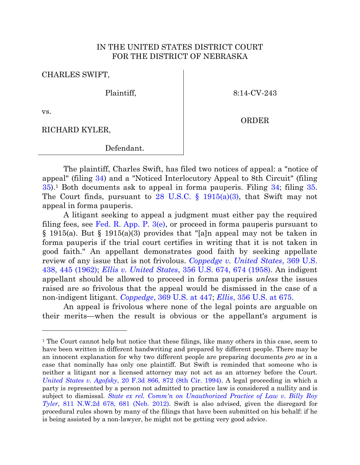## IN THE UNITED STATES DISTRICT COURT FOR THE DISTRICT OF NEBRASKA

CHARLES SWIFT,

Plaintiff,

8:14-CV-243

ORDER

vs.

RICHARD KYLER,

Defendant.

The plaintiff, Charles Swift, has filed two notices of appeal: a "notice of appeal" (filing [34\)](https://ecf.ned.uscourts.gov/doc1/11313242190) and a "Noticed Interlocutory Appeal to 8th Circuit" (filing  $35$ ).<sup>1</sup> Both documents ask to appeal in forma pauperis. Filing  $34$ ; filing  $35$ . The Court finds, pursuant to 28 U.S.C.  $\S$  1915(a)(3), that Swift may not appeal in forma pauperis.

A litigant seeking to appeal a judgment must either pay the required filing fees, see Fed. R. App. P.  $3(e)$ , or proceed in forma pauperis pursuant to § 1915(a). But § 1915(a)(3) provides that "[a]n appeal may not be taken in forma pauperis if the trial court certifies in writing that it is not taken in good faith." An appellant demonstrates good faith by seeking appellate review of any issue that is not frivolous. *[Coppedge v. United States](http://www.westlaw.com/find/default.wl?ft=Y&referencepositiontype=S&rs=ap2.0&rp=%2ffind%2fdefault.wl&serialnum=1962127607&fn=_top&referenceposition=445&findtype=Y&vr=2.0&db=0000780&ClientID=JMG&wbtoolsId=1962127607&HistoryType=F)*, 369 U.S. [438, 445 \(1962\);](http://www.westlaw.com/find/default.wl?ft=Y&referencepositiontype=S&rs=ap2.0&rp=%2ffind%2fdefault.wl&serialnum=1962127607&fn=_top&referenceposition=445&findtype=Y&vr=2.0&db=0000780&ClientID=JMG&wbtoolsId=1962127607&HistoryType=F) *Ellis v. United States*[, 356 U.S. 674, 674 \(1958\).](http://www.westlaw.com/find/default.wl?ft=Y&referencepositiontype=S&rs=ap2.0&rp=%2ffind%2fdefault.wl&serialnum=1958101367&fn=_top&referenceposition=674&findtype=Y&vr=2.0&db=0000780&ClientID=JMG&wbtoolsId=1958101367&HistoryType=F) An indigent appellant should be allowed to proceed in forma pauperis *unless* the issues raised are so frivolous that the appeal would be dismissed in the case of a non-indigent litigant. *Coppedge*[, 369 U.S. at 447;](http://www.westlaw.com/find/default.wl?ft=Y&referencepositiontype=S&rs=ap2.0&rp=%2ffind%2fdefault.wl&serialnum=1962127607&fn=_top&referenceposition=445&findtype=Y&vr=2.0&db=0000780&ClientID=JMG&wbtoolsId=1962127607&HistoryType=F) *Ellis*[, 356 U.S. at 675.](http://www.westlaw.com/find/default.wl?ft=Y&referencepositiontype=S&rs=ap2.0&rp=%2ffind%2fdefault.wl&serialnum=1958101367&fn=_top&referenceposition=674&findtype=Y&vr=2.0&db=0000780&ClientID=JMG&wbtoolsId=1958101367&HistoryType=F)

An appeal is frivolous where none of the legal points are arguable on their merits—when the result is obvious or the appellant's argument is

<sup>&</sup>lt;sup>1</sup> The Court cannot help but notice that these filings, like many others in this case, seem to have been written in different handwriting and prepared by different people. There may be an innocent explanation for why two different people are preparing documents *pro se* in a case that nominally has only one plaintiff. But Swift is reminded that someone who is neither a litigant nor a licensed attorney may not act as an attorney before the Court. *United States v. Agofsky*[, 20 F.3d 866, 872 \(8th Cir. 1994\).](http://web2.westlaw.com/find/default.wl?cite=20+F.3d+866&ft=Y&vr=2.0&rs=WLW15.01&rp=%2ffind%2fdefault.wl&sv=Split&fn=_top&mt=Westlaw) A legal proceeding in which a party is represented by a person not admitted to practice law is considered a nullity and is subject to dismissal. *[State ex rel. Comm'n on Unauthorized Practice of Law v. Billy Roy](http://www.westlaw.com/find/default.wl?ft=Y&referencepositiontype=S&rs=ap2.0&rp=%2ffind%2fdefault.wl&serialnum=2027537588&fn=_top&referenceposition=681&findtype=Y&vr=2.0&db=0000595&ClientID=JMG&wbtoolsId=2027537588&HistoryType=F)  Tyler*[, 811 N.W.2d 678, 681 \(Neb. 2012\).](http://www.westlaw.com/find/default.wl?ft=Y&referencepositiontype=S&rs=ap2.0&rp=%2ffind%2fdefault.wl&serialnum=2027537588&fn=_top&referenceposition=681&findtype=Y&vr=2.0&db=0000595&ClientID=JMG&wbtoolsId=2027537588&HistoryType=F) Swift is also advised, given the disregard for procedural rules shown by many of the filings that have been submitted on his behalf: if he is being assisted by a non-lawyer, he might not be getting very good advice.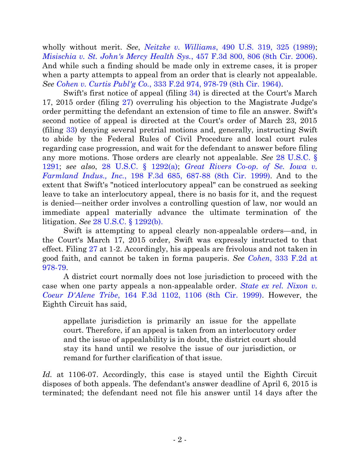wholly without merit. *See*, *Neitzke v. Williams*[, 490 U.S. 319, 325 \(1989\);](http://www.westlaw.com/find/default.wl?ft=Y&referencepositiontype=S&rs=ap2.0&rp=%2ffind%2fdefault.wl&serialnum=1989063358&fn=_top&referenceposition=325&findtype=Y&vr=2.0&db=0000780&ClientID=JMG&wbtoolsId=1989063358&HistoryType=F) *[Misischia v. St. John's Mercy Health Sys.](http://www.westlaw.com/find/default.wl?ft=Y&referencepositiontype=S&rs=ap2.0&rp=%2ffind%2fdefault.wl&serialnum=2009684263&fn=_top&referenceposition=806&findtype=Y&vr=2.0&db=0000506&ClientID=JMG&wbtoolsId=2009684263&HistoryType=F)*, 457 F.3d 800, 806 (8th Cir. 2006). And while such a finding should be made only in extreme cases, it is proper when a party attempts to appeal from an order that is clearly not appealable. *See Cohen v. Curtis Publ'g Co.*[, 333 F.2d 974, 978-79 \(8th Cir. 1964\).](http://www.westlaw.com/find/default.wl?ft=Y&referencepositiontype=S&rs=ap2.0&rp=%2ffind%2fdefault.wl&serialnum=1964114752&fn=_top&referenceposition=79&findtype=Y&vr=2.0&db=0000350&ClientID=JMG&wbtoolsId=1964114752&HistoryType=F)

Swift's first notice of appeal (filing [34\)](https://ecf.ned.uscourts.gov/doc1/11313242190) is directed at the Court's March 17, 2015 order (filing [27\)](https://ecf.ned.uscourts.gov/doc1/11313232762) overruling his objection to the Magistrate Judge's order permitting the defendant an extension of time to file an answer. Swift's second notice of appeal is directed at the Court's order of March 23, 2015 (filing [33\)](https://ecf.ned.uscourts.gov/doc1/11313236900) denying several pretrial motions and, generally, instructing Swift to abide by the Federal Rules of Civil Procedure and local court rules regarding case progression, and wait for the defendant to answer before filing any more motions. Those orders are clearly not appealable. *See* [28 U.S.C. §](http://www.westlaw.com/find/default.wl?ft=L&docname=28USCAS1291&rs=ap2.0&rp=%2ffind%2fdefault.wl&fn=_top&findtype=L&vr=2.0&db=1000546&ClientID=JMG&wbtoolsId=28USCAS1291&HistoryType=F)  [1291;](http://www.westlaw.com/find/default.wl?ft=L&docname=28USCAS1291&rs=ap2.0&rp=%2ffind%2fdefault.wl&fn=_top&findtype=L&vr=2.0&db=1000546&ClientID=JMG&wbtoolsId=28USCAS1291&HistoryType=F) *see also*, [28 U.S.C. § 1292\(a\);](http://www.westlaw.com/find/default.wl?ft=L&docname=28USCAS1292&rs=ap2.0&rp=%2ffind%2fdefault.wl&fn=_top&findtype=L&vr=2.0&db=1000546&ClientID=JMG&wbtoolsId=28USCAS1292&HistoryType=F) *[Great Rivers Co-op. of Se. Iowa v.](http://www.westlaw.com/find/default.wl?ft=Y&referencepositiontype=S&rs=ap2.0&rp=%2ffind%2fdefault.wl&serialnum=1999275958&fn=_top&referenceposition=88&findtype=Y&vr=2.0&db=0000506&ClientID=JMG&wbtoolsId=1999275958&HistoryType=F)  Farmland Indus., Inc.*[, 198 F.3d 685, 687-88 \(8th Cir. 1999\).](http://www.westlaw.com/find/default.wl?ft=Y&referencepositiontype=S&rs=ap2.0&rp=%2ffind%2fdefault.wl&serialnum=1999275958&fn=_top&referenceposition=88&findtype=Y&vr=2.0&db=0000506&ClientID=JMG&wbtoolsId=1999275958&HistoryType=F) And to the extent that Swift's "noticed interlocutory appeal" can be construed as seeking leave to take an interlocutory appeal, there is no basis for it, and the request is denied—neither order involves a controlling question of law, nor would an immediate appeal materially advance the ultimate termination of the litigation. *See* [28 U.S.C. § 1292\(b\).](http://web2.westlaw.com/find/default.wl?%5F%5Flrguid=i607102376d7e42be877ebf6e92a516c7&db=1000546&docname=28USCAS1292&findtype=L&fn=%5Ftop&ft=L&HistoryType=F&MT=Westlaw&rs=ap2%2E0&strRecreate=no&sv=Split&vr=2%2E0&wbtoolsId=28USCAS1292)

Swift is attempting to appeal clearly non-appealable orders—and, in the Court's March 17, 2015 order, Swift was expressly instructed to that effect. Filing [27](https://ecf.ned.uscourts.gov/doc1/11313232762) at 1-2. Accordingly, his appeals are frivolous and not taken in good faith, and cannot be taken in forma pauperis. *See Cohen*[, 333 F.2d at](http://www.westlaw.com/find/default.wl?ft=Y&referencepositiontype=S&rs=ap2.0&rp=%2ffind%2fdefault.wl&serialnum=1964114752&fn=_top&referenceposition=79&findtype=Y&vr=2.0&db=0000350&ClientID=JMG&wbtoolsId=1964114752&HistoryType=F)  [978-79.](http://www.westlaw.com/find/default.wl?ft=Y&referencepositiontype=S&rs=ap2.0&rp=%2ffind%2fdefault.wl&serialnum=1964114752&fn=_top&referenceposition=79&findtype=Y&vr=2.0&db=0000350&ClientID=JMG&wbtoolsId=1964114752&HistoryType=F)

A district court normally does not lose jurisdiction to proceed with the case when one party appeals a non-appealable order. *[State ex rel. Nixon v.](http://www.westlaw.com/find/default.wl?ft=Y&referencepositiontype=S&rs=ap2.0&rp=%2ffind%2fdefault.wl&serialnum=1999027023&fn=_top&referenceposition=1106&findtype=Y&vr=2.0&db=0000506&ClientID=JMG&wbtoolsId=1999027023&HistoryType=F)  Coeur D'Alene Tribe*[, 164 F.3d 1102, 1106 \(8th Cir. 1999\).](http://www.westlaw.com/find/default.wl?ft=Y&referencepositiontype=S&rs=ap2.0&rp=%2ffind%2fdefault.wl&serialnum=1999027023&fn=_top&referenceposition=1106&findtype=Y&vr=2.0&db=0000506&ClientID=JMG&wbtoolsId=1999027023&HistoryType=F) However, the Eighth Circuit has said,

appellate jurisdiction is primarily an issue for the appellate court. Therefore, if an appeal is taken from an interlocutory order and the issue of appealability is in doubt, the district court should stay its hand until we resolve the issue of our jurisdiction, or remand for further clarification of that issue.

Id. at 1106-07. Accordingly, this case is stayed until the Eighth Circuit disposes of both appeals. The defendant's answer deadline of April 6, 2015 is terminated; the defendant need not file his answer until 14 days after the